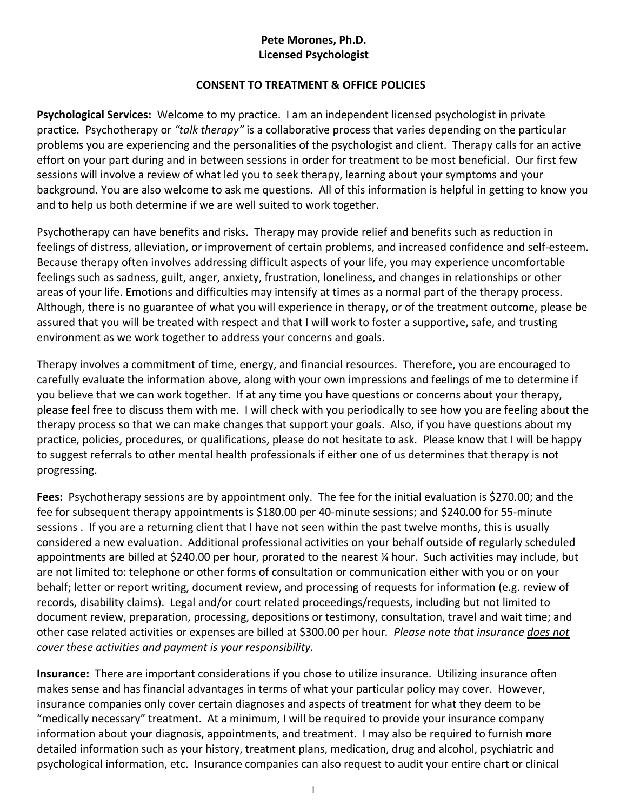## **Pete Morones, Ph.D. Licensed Psychologist**

## **CONSENT TO TREATMENT & OFFICE POLICIES**

**Psychological Services:** Welcome to my practice. I am an independent licensed psychologist in private practice. Psychotherapy or *"talk therapy"* is a collaborative process that varies depending on the particular problems you are experiencing and the personalities of the psychologist and client. Therapy calls for an active effort on your part during and in between sessions in order for treatment to be most beneficial. Our first few sessions will involve a review of what led you to seek therapy, learning about your symptoms and your background. You are also welcome to ask me questions. All of this information is helpful in getting to know you and to help us both determine if we are well suited to work together.

Psychotherapy can have benefits and risks. Therapy may provide relief and benefits such as reduction in feelings of distress, alleviation, or improvement of certain problems, and increased confidence and self-esteem. Because therapy often involves addressing difficult aspects of your life, you may experience uncomfortable feelings such as sadness, guilt, anger, anxiety, frustration, loneliness, and changes in relationships or other areas of your life. Emotions and difficulties may intensify at times as a normal part of the therapy process. Although, there is no guarantee of what you will experience in therapy, or of the treatment outcome, please be assured that you will be treated with respect and that I will work to foster a supportive, safe, and trusting environment as we work together to address your concerns and goals.

Therapy involves a commitment of time, energy, and financial resources. Therefore, you are encouraged to carefully evaluate the information above, along with your own impressions and feelings of me to determine if you believe that we can work together. If at any time you have questions or concerns about your therapy, please feel free to discuss them with me. I will check with you periodically to see how you are feeling about the therapy process so that we can make changes that support your goals. Also, if you have questions about my practice, policies, procedures, or qualifications, please do not hesitate to ask. Please know that I will be happy to suggest referrals to other mental health professionals if either one of us determines that therapy is not progressing.

**Fees:** Psychotherapy sessions are by appointment only. The fee for the initial evaluation is \$270.00; and the fee for subsequent therapy appointments is \$180.00 per 40-minute sessions; and \$240.00 for 55-minute sessions . If you are a returning client that I have not seen within the past twelve months, this is usually considered a new evaluation. Additional professional activities on your behalf outside of regularly scheduled appointments are billed at \$240.00 per hour, prorated to the nearest ¼ hour. Such activities may include, but are not limited to: telephone or other forms of consultation or communication either with you or on your behalf; letter or report writing, document review, and processing of requests for information (e.g. review of records, disability claims). Legal and/or court related proceedings/requests, including but not limited to document review, preparation, processing, depositions or testimony, consultation, travel and wait time; and other case related activities or expenses are billed at \$300.00 per hour*. Please note that insurance does not cover these activities and payment is your responsibility.*

**Insurance:** There are important considerations if you chose to utilize insurance. Utilizing insurance often makes sense and has financial advantages in terms of what your particular policy may cover. However, insurance companies only cover certain diagnoses and aspects of treatment for what they deem to be "medically necessary" treatment. At a minimum, I will be required to provide your insurance company information about your diagnosis, appointments, and treatment. I may also be required to furnish more detailed information such as your history, treatment plans, medication, drug and alcohol, psychiatric and psychological information, etc. Insurance companies can also request to audit your entire chart or clinical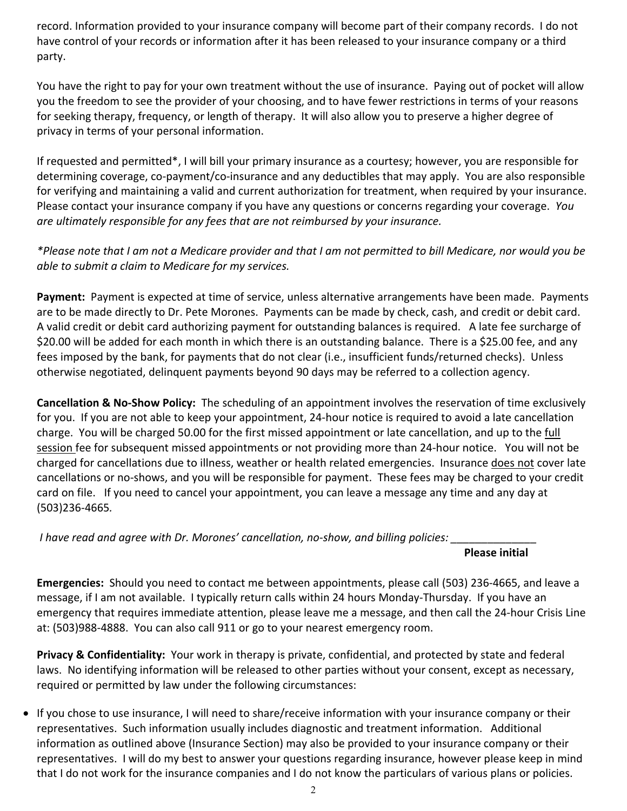record. Information provided to your insurance company will become part of their company records. I do not have control of your records or information after it has been released to your insurance company or a third party.

You have the right to pay for your own treatment without the use of insurance. Paying out of pocket will allow you the freedom to see the provider of your choosing, and to have fewer restrictions in terms of your reasons for seeking therapy, frequency, or length of therapy. It will also allow you to preserve a higher degree of privacy in terms of your personal information.

If requested and permitted\*, I will bill your primary insurance as a courtesy; however, you are responsible for determining coverage, co-payment/co-insurance and any deductibles that may apply. You are also responsible for verifying and maintaining a valid and current authorization for treatment, when required by your insurance. Please contact your insurance company if you have any questions or concerns regarding your coverage. *You are ultimately responsible for any fees that are not reimbursed by your insurance.*

*\*Please note that I am not a Medicare provider and that I am not permitted to bill Medicare, nor would you be able to submit a claim to Medicare for my services.* 

**Payment:** Payment is expected at time of service, unless alternative arrangements have been made. Payments are to be made directly to Dr. Pete Morones. Payments can be made by check, cash, and credit or debit card. A valid credit or debit card authorizing payment for outstanding balances is required. A late fee surcharge of \$20.00 will be added for each month in which there is an outstanding balance. There is a \$25.00 fee, and any fees imposed by the bank, for payments that do not clear (i.e., insufficient funds/returned checks). Unless otherwise negotiated, delinquent payments beyond 90 days may be referred to a collection agency.

**Cancellation & No-Show Policy:** The scheduling of an appointment involves the reservation of time exclusively for you. If you are not able to keep your appointment, 24-hour notice is required to avoid a late cancellation charge. You will be charged 50.00 for the first missed appointment or late cancellation, and up to the full session fee for subsequent missed appointments or not providing more than 24-hour notice. You will not be charged for cancellations due to illness, weather or health related emergencies. Insurance does not cover late cancellations or no-shows, and you will be responsible for payment. These fees may be charged to your credit card on file. If you need to cancel your appointment, you can leave a message any time and any day at (503)236-4665*.*

*I have read and agree with Dr. Morones' cancellation, no-show, and billing policies: \_\_\_\_\_\_\_\_\_\_\_\_\_\_*

## **Please initial**

**Emergencies:** Should you need to contact me between appointments, please call (503) 236-4665, and leave a message, if I am not available. I typically return calls within 24 hours Monday-Thursday. If you have an emergency that requires immediate attention, please leave me a message, and then call the 24-hour Crisis Line at: (503)988-4888. You can also call 911 or go to your nearest emergency room.

**Privacy & Confidentiality:** Your work in therapy is private, confidential, and protected by state and federal laws. No identifying information will be released to other parties without your consent, except as necessary, required or permitted by law under the following circumstances:

• If you chose to use insurance, I will need to share/receive information with your insurance company or their representatives. Such information usually includes diagnostic and treatment information. Additional information as outlined above (Insurance Section) may also be provided to your insurance company or their representatives. I will do my best to answer your questions regarding insurance, however please keep in mind that I do not work for the insurance companies and I do not know the particulars of various plans or policies.